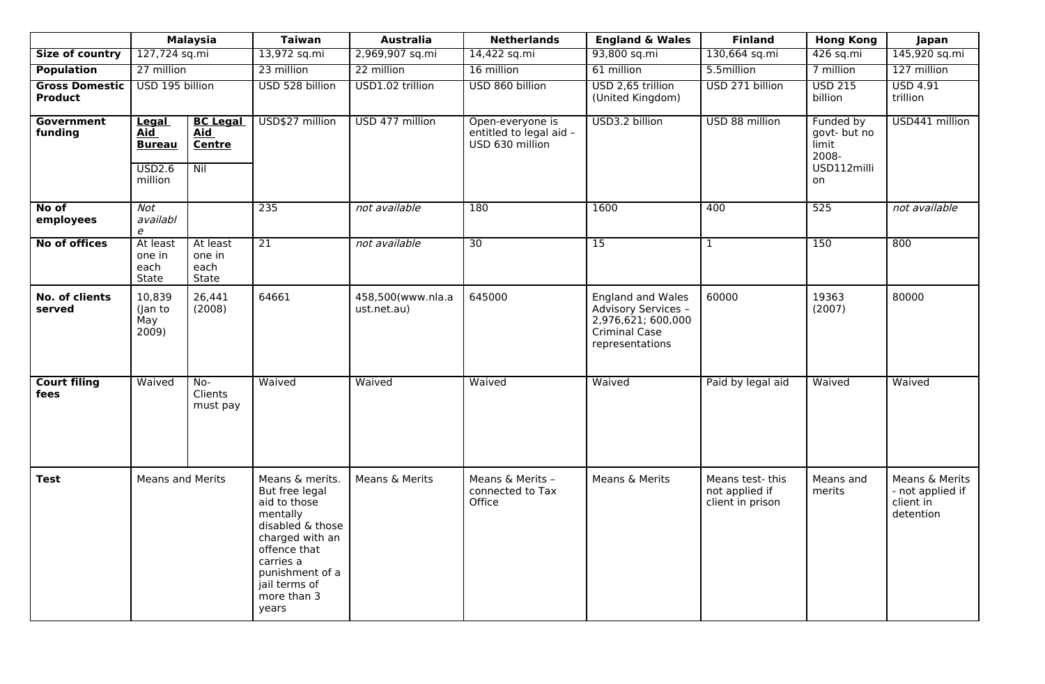|                                         | <b>Malaysia</b>                                                        |                                                       | <b>Taiwan</b>                                                                                                                                                                                 | <b>Australia</b>                 | <b>Netherlands</b>                                             | <b>England &amp; Wales</b>                                                                                       | <b>Finland</b>                                         | <b>Hong Kong</b>                                                 | Japan                                                        |
|-----------------------------------------|------------------------------------------------------------------------|-------------------------------------------------------|-----------------------------------------------------------------------------------------------------------------------------------------------------------------------------------------------|----------------------------------|----------------------------------------------------------------|------------------------------------------------------------------------------------------------------------------|--------------------------------------------------------|------------------------------------------------------------------|--------------------------------------------------------------|
| Size of country                         | 127,724 sq.mi                                                          |                                                       | 13,972 sq.mi                                                                                                                                                                                  | 2,969,907 sq.mi                  | 14,422 sq.mi                                                   | 93,800 sq.mi                                                                                                     | 130,664 sq.mi                                          | 426 sq.mi                                                        | 145,920 sq.mi                                                |
| <b>Population</b>                       | 27 million                                                             |                                                       | 23 million                                                                                                                                                                                    | 22 million                       | 16 million                                                     | 61 million                                                                                                       | 5.5million                                             | 7 million                                                        | 127 million                                                  |
| <b>Gross Domestic</b><br><b>Product</b> | USD 195 billion                                                        |                                                       | USD 528 billion                                                                                                                                                                               | USD1.02 trillion                 | USD 860 billion                                                | USD 2,65 trillion<br>(United Kingdom)                                                                            | USD 271 billion                                        | <b>USD 215</b><br>billion                                        | <b>USD 4.91</b><br>trillion                                  |
| <b>Government</b><br>funding            | Legal<br><b>Aid</b><br><b>Bureau</b><br>$\overline{USD2.6}$<br>million | <b>BC Legal</b><br><b>Aid</b><br><b>Centre</b><br>Nil | USD\$27 million                                                                                                                                                                               | USD 477 million                  | Open-everyone is<br>entitled to legal aid -<br>USD 630 million | USD3.2 billion                                                                                                   | USD 88 million                                         | Funded by<br>govt- but no<br>limit<br>2008-<br>USD112milli<br>on | USD441 million                                               |
| No of<br>employees                      | Not<br>availabl<br>$\boldsymbol{e}$                                    |                                                       | 235                                                                                                                                                                                           | not available                    | 180                                                            | 1600                                                                                                             | 400                                                    | 525                                                              | not available                                                |
| <b>No of offices</b>                    | At least<br>one in<br>each<br>State                                    | At least<br>one in<br>each<br>State                   | $\overline{21}$                                                                                                                                                                               | not available                    | $\overline{30}$                                                | $\overline{15}$                                                                                                  | $\mathbf{1}$                                           | 150                                                              | 800                                                          |
| No. of clients<br>served                | 10,839<br>(Jan to<br>May<br>2009)                                      | 26,441<br>(2008)                                      | 64661                                                                                                                                                                                         | 458,500(www.nla.a<br>ust.net.au) | 645000                                                         | <b>England and Wales</b><br>Advisory Services -<br>2,976,621; 600,000<br><b>Criminal Case</b><br>representations | 60000                                                  | 19363<br>(2007)                                                  | 80000                                                        |
| <b>Court filing</b><br>fees             | Waived                                                                 | No-<br>Clients<br>must pay                            | Waived                                                                                                                                                                                        | Waived                           | Waived                                                         | Waived                                                                                                           | Paid by legal aid                                      | Waived                                                           | Waived                                                       |
| <b>Test</b>                             | <b>Means and Merits</b>                                                |                                                       | Means & merits.<br>But free legal<br>aid to those<br>mentally<br>disabled & those<br>charged with an<br>offence that<br>carries a<br>punishment of a<br>jail terms of<br>more than 3<br>years | Means & Merits                   | Means & Merits -<br>connected to Tax<br>Office                 | Means & Merits                                                                                                   | Means test- this<br>not applied if<br>client in prison | Means and<br>merits                                              | Means & Merits<br>- not applied if<br>client in<br>detention |